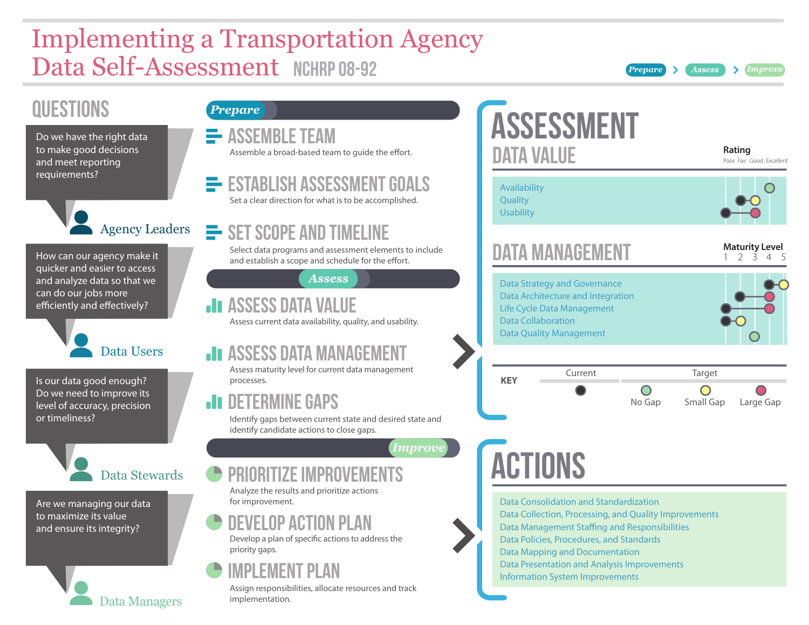# Implementing a Transportation Agency Data Self-Assessment NCHRP 08-92 *Prepare Assess Improve*

## **QUESTIONS**

Do we have the right data to make good decisions and meet reporting requirements?

Agency Leaders

How can our agency make it quicker and easier to access and analyze data so that we can do our jobs more efficiently and effectively?



Is our data good enough? Do we need to improve its level of accuracy, precision or timeliness?

Data Stewards

Data Managers

Are we managing our data to maximize its value and ensure its integrity?

### *Prepare*

| $\equiv$ ASSEMBLE TEAM<br>Assemble a broad-based team to quide the effort.                                                                       |
|--------------------------------------------------------------------------------------------------------------------------------------------------|
| <b>E</b> ESTABLISH ASSESSMENT GOALS<br>Set a clear direction for what is to be accomplished.                                                     |
| $\equiv$ SET SCOPE AND TIMELINE<br>Select data programs and assessment elements to include<br>and establish a scope and schedule for the effort. |

*Assess*

### **ASSESS DATA VALUE** Assess current data availability, quality, and usability.

**ASSESS DATA MANAGEMENT** 

Assess maturity level for current data management processes.

## **AI DETERMINE GAPS**

Identify gaps between current state and desired state and identify candidate actions to close gaps.

*Improve*

## PRIORITIZE IMPROVEME

Analyze the results and prioritize actions for improvement.

## Develop ACTION Plan

Develop a plan of specifc actions to address the priority gaps.

## Implement Plan

Assign responsibilities, allocate resources and track implementation.